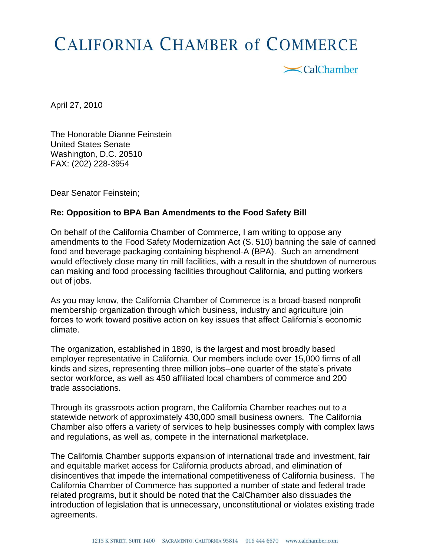## **CALIFORNIA CHAMBER of COMMERCE**

<br />
CalChamber

April 27, 2010

The Honorable Dianne Feinstein United States Senate Washington, D.C. 20510 FAX: (202) 228-3954

Dear Senator Feinstein;

## **Re: Opposition to BPA Ban Amendments to the Food Safety Bill**

On behalf of the California Chamber of Commerce, I am writing to oppose any amendments to the Food Safety Modernization Act (S. 510) banning the sale of canned food and beverage packaging containing bisphenol-A (BPA). Such an amendment would effectively close many tin mill facilities, with a result in the shutdown of numerous can making and food processing facilities throughout California, and putting workers out of jobs.

As you may know, the California Chamber of Commerce is a broad-based nonprofit membership organization through which business, industry and agriculture join forces to work toward positive action on key issues that affect California's economic climate.

The organization, established in 1890, is the largest and most broadly based employer representative in California. Our members include over 15,000 firms of all kinds and sizes, representing three million jobs--one quarter of the state's private sector workforce, as well as 450 affiliated local chambers of commerce and 200 trade associations.

Through its grassroots action program, the California Chamber reaches out to a statewide network of approximately 430,000 small business owners. The California Chamber also offers a variety of services to help businesses comply with complex laws and regulations, as well as, compete in the international marketplace.

The California Chamber supports expansion of international trade and investment, fair and equitable market access for California products abroad, and elimination of disincentives that impede the international competitiveness of California business. The California Chamber of Commerce has supported a number of state and federal trade related programs, but it should be noted that the CalChamber also dissuades the introduction of legislation that is unnecessary, unconstitutional or violates existing trade agreements.